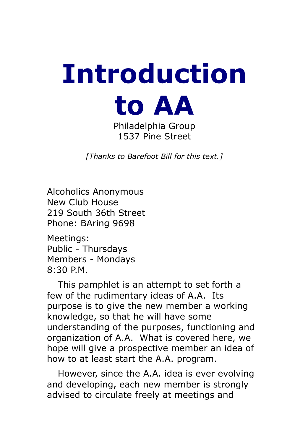# **Introduction to AA**

Philadelphia Group 1537 Pine Street

*[Thanks to Barefoot Bill for this text.]*

Alcoholics Anonymous New Club House 219 South 36th Street Phone: BAring 9698

Meetings: Public - Thursdays Members - Mondays 8:30 P.M.

 This pamphlet is an attempt to set forth a few of the rudimentary ideas of A.A. Its purpose is to give the new member a working knowledge, so that he will have some understanding of the purposes, functioning and organization of A.A. What is covered here, we hope will give a prospective member an idea of how to at least start the A.A. program.

 However, since the A.A. idea is ever evolving and developing, each new member is strongly advised to circulate freely at meetings and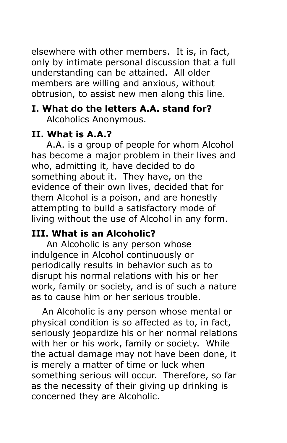elsewhere with other members. It is, in fact, only by intimate personal discussion that a full understanding can be attained. All older members are willing and anxious, without obtrusion, to assist new men along this line.

# **I. What do the letters A.A. stand for?**

Alcoholics Anonymous.

# **II. What is A.A.?**

 A.A. is a group of people for whom Alcohol has become a major problem in their lives and who, admitting it, have decided to do something about it. They have, on the evidence of their own lives, decided that for them Alcohol is a poison, and are honestly attempting to build a satisfactory mode of living without the use of Alcohol in any form.

# **III. What is an Alcoholic?**

 An Alcoholic is any person whose indulgence in Alcohol continuously or periodically results in behavior such as to disrupt his normal relations with his or her work, family or society, and is of such a nature as to cause him or her serious trouble.

 An Alcoholic is any person whose mental or physical condition is so affected as to, in fact, seriously jeopardize his or her normal relations with her or his work, family or society. While the actual damage may not have been done, it is merely a matter of time or luck when something serious will occur. Therefore, so far as the necessity of their giving up drinking is concerned they are Alcoholic.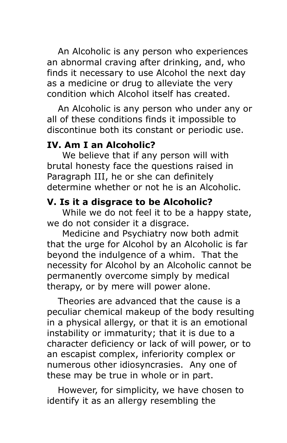An Alcoholic is any person who experiences an abnormal craving after drinking, and, who finds it necessary to use Alcohol the next day as a medicine or drug to alleviate the very condition which Alcohol itself has created.

 An Alcoholic is any person who under any or all of these conditions finds it impossible to discontinue both its constant or periodic use.

# **IV. Am I an Alcoholic?**

 We believe that if any person will with brutal honesty face the questions raised in Paragraph III, he or she can definitely determine whether or not he is an Alcoholic.

### **V. Is it a disgrace to be Alcoholic?**

 While we do not feel it to be a happy state, we do not consider it a disgrace.

 Medicine and Psychiatry now both admit that the urge for Alcohol by an Alcoholic is far beyond the indulgence of a whim. That the necessity for Alcohol by an Alcoholic cannot be permanently overcome simply by medical therapy, or by mere will power alone.

 Theories are advanced that the cause is a peculiar chemical makeup of the body resulting in a physical allergy, or that it is an emotional instability or immaturity; that it is due to a character deficiency or lack of will power, or to an escapist complex, inferiority complex or numerous other idiosyncrasies. Any one of these may be true in whole or in part.

 However, for simplicity, we have chosen to identify it as an allergy resembling the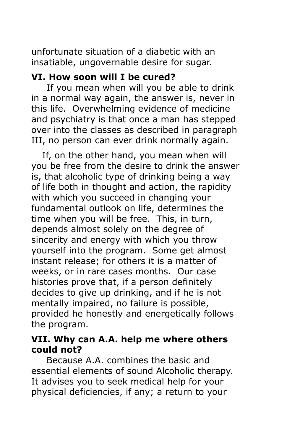unfortunate situation of a diabetic with an insatiable, ungovernable desire for sugar.

#### **VI. How soon will I be cured?**

 If you mean when will you be able to drink in a normal way again, the answer is, never in this life. Overwhelming evidence of medicine and psychiatry is that once a man has stepped over into the classes as described in paragraph III, no person can ever drink normally again.

 If, on the other hand, you mean when will you be free from the desire to drink the answer is, that alcoholic type of drinking being a way of life both in thought and action, the rapidity with which you succeed in changing your fundamental outlook on life, determines the time when you will be free. This, in turn, depends almost solely on the degree of sincerity and energy with which you throw yourself into the program. Some get almost instant release; for others it is a matter of weeks, or in rare cases months. Our case histories prove that, if a person definitely decides to give up drinking, and if he is not mentally impaired, no failure is possible, provided he honestly and energetically follows the program.

#### **VII. Why can A.A. help me where others could not?**

 Because A.A. combines the basic and essential elements of sound Alcoholic therapy. It advises you to seek medical help for your physical deficiencies, if any; a return to your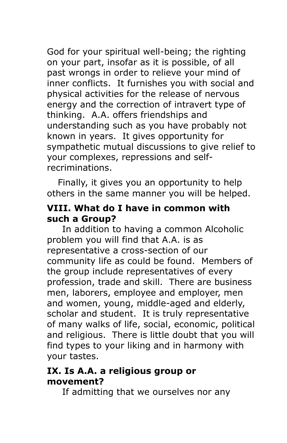God for your spiritual well-being; the righting on your part, insofar as it is possible, of all past wrongs in order to relieve your mind of inner conflicts. It furnishes you with social and physical activities for the release of nervous energy and the correction of intravert type of thinking. A.A. offers friendships and understanding such as you have probably not known in years. It gives opportunity for sympathetic mutual discussions to give relief to your complexes, repressions and selfrecriminations.

 Finally, it gives you an opportunity to help others in the same manner you will be helped.

#### **VIII. What do I have in common with such a Group?**

 In addition to having a common Alcoholic problem you will find that A.A. is as representative a cross-section of our community life as could be found. Members of the group include representatives of every profession, trade and skill. There are business men, laborers, employee and employer, men and women, young, middle-aged and elderly, scholar and student. It is truly representative of many walks of life, social, economic, political and religious. There is little doubt that you will find types to your liking and in harmony with your tastes.

#### **IX. Is A.A. a religious group or movement?**

If admitting that we ourselves nor any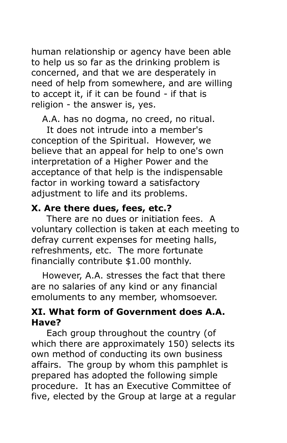human relationship or agency have been able to help us so far as the drinking problem is concerned, and that we are desperately in need of help from somewhere, and are willing to accept it, if it can be found - if that is religion - the answer is, yes.

A.A. has no dogma, no creed, no ritual.

 It does not intrude into a member's conception of the Spiritual. However, we believe that an appeal for help to one's own interpretation of a Higher Power and the acceptance of that help is the indispensable factor in working toward a satisfactory adjustment to life and its problems.

#### **X. Are there dues, fees, etc.?**

 There are no dues or initiation fees. A voluntary collection is taken at each meeting to defray current expenses for meeting halls, refreshments, etc. The more fortunate financially contribute \$1.00 monthly.

 However, A.A. stresses the fact that there are no salaries of any kind or any financial emoluments to any member, whomsoever.

#### **XI. What form of Government does A.A. Have?**

 Each group throughout the country (of which there are approximately 150) selects its own method of conducting its own business affairs. The group by whom this pamphlet is prepared has adopted the following simple procedure. It has an Executive Committee of five, elected by the Group at large at a regular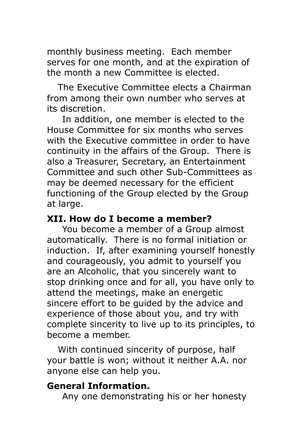monthly business meeting. Each member serves for one month, and at the expiration of the month a new Committee is elected.

 The Executive Committee elects a Chairman from among their own number who serves at its discretion.

 In addition, one member is elected to the House Committee for six months who serves with the Executive committee in order to have continuity in the affairs of the Group. There is also a Treasurer, Secretary, an Entertainment Committee and such other Sub-Committees as may be deemed necessary for the efficient functioning of the Group elected by the Group at large.

#### **XII. How do I become a member?**

 You become a member of a Group almost automatically. There is no formal initiation or induction. If, after examining yourself honestly and courageously, you admit to yourself you are an Alcoholic, that you sincerely want to stop drinking once and for all, you have only to attend the meetings, make an energetic sincere effort to be guided by the advice and experience of those about you, and try with complete sincerity to live up to its principles, to become a member.

 With continued sincerity of purpose, half your battle is won; without it neither A.A. nor anyone else can help you.

#### **General Information.**

Any one demonstrating his or her honesty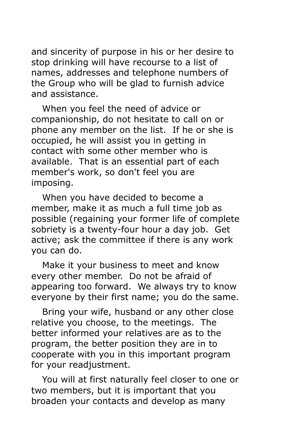and sincerity of purpose in his or her desire to stop drinking will have recourse to a list of names, addresses and telephone numbers of the Group who will be glad to furnish advice and assistance.

 When you feel the need of advice or companionship, do not hesitate to call on or phone any member on the list. If he or she is occupied, he will assist you in getting in contact with some other member who is available. That is an essential part of each member's work, so don't feel you are imposing.

 When you have decided to become a member, make it as much a full time job as possible (regaining your former life of complete sobriety is a twenty-four hour a day job. Get active; ask the committee if there is any work you can do.

 Make it your business to meet and know every other member. Do not be afraid of appearing too forward. We always try to know everyone by their first name; you do the same.

 Bring your wife, husband or any other close relative you choose, to the meetings. The better informed your relatives are as to the program, the better position they are in to cooperate with you in this important program for your readjustment.

 You will at first naturally feel closer to one or two members, but it is important that you broaden your contacts and develop as many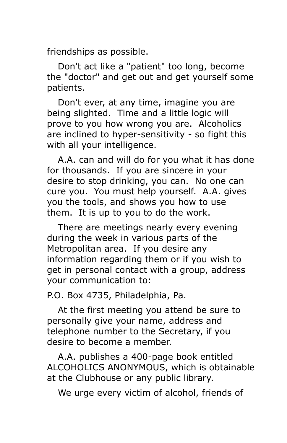friendships as possible.

 Don't act like a "patient" too long, become the "doctor" and get out and get yourself some patients.

 Don't ever, at any time, imagine you are being slighted. Time and a little logic will prove to you how wrong you are. Alcoholics are inclined to hyper-sensitivity - so fight this with all your intelligence.

 A.A. can and will do for you what it has done for thousands. If you are sincere in your desire to stop drinking, you can. No one can cure you. You must help yourself. A.A. gives you the tools, and shows you how to use them. It is up to you to do the work.

 There are meetings nearly every evening during the week in various parts of the Metropolitan area. If you desire any information regarding them or if you wish to get in personal contact with a group, address your communication to:

P.O. Box 4735, Philadelphia, Pa.

 At the first meeting you attend be sure to personally give your name, address and telephone number to the Secretary, if you desire to become a member.

 A.A. publishes a 400-page book entitled ALCOHOLICS ANONYMOUS, which is obtainable at the Clubhouse or any public library.

We urge every victim of alcohol, friends of